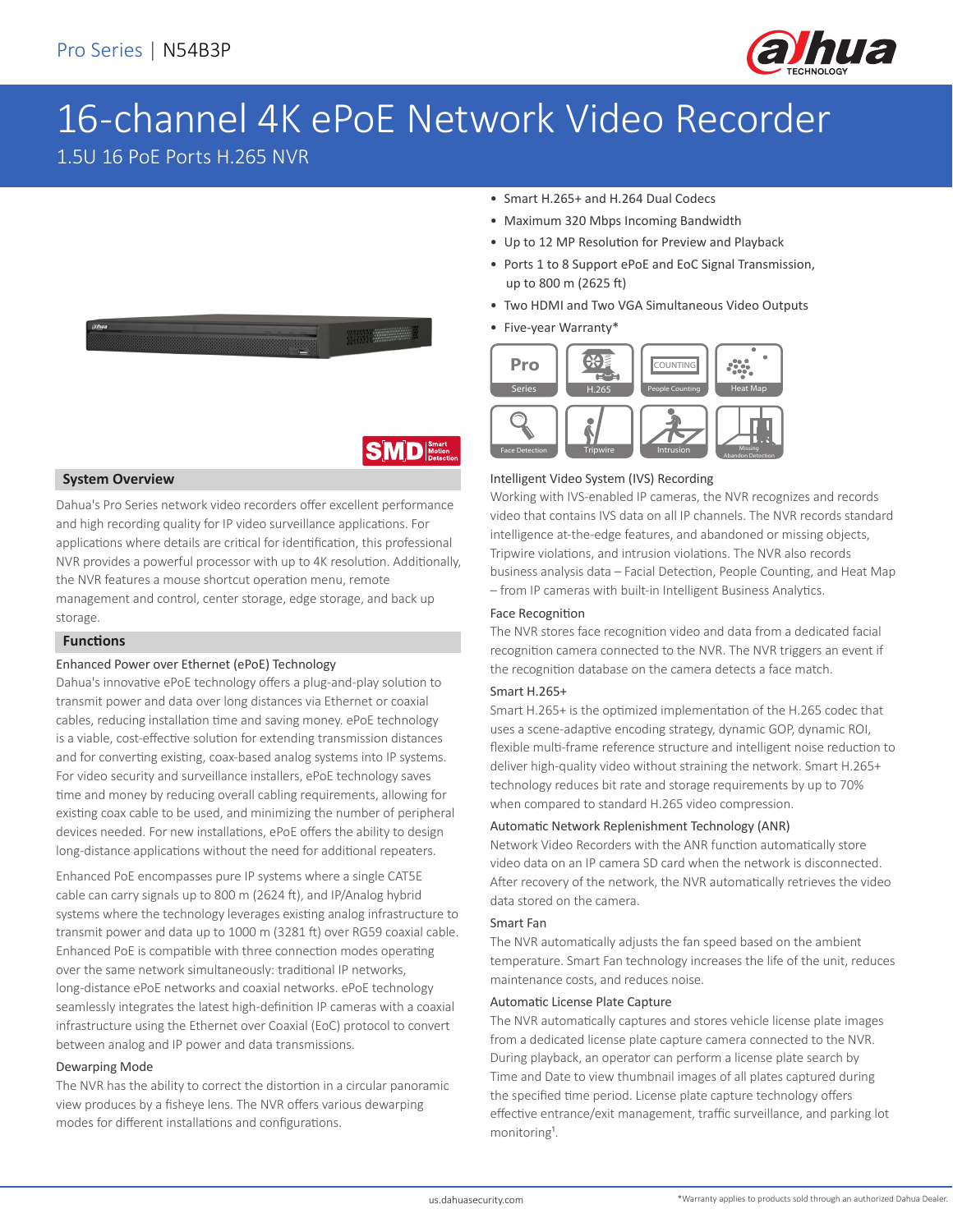

# 16-channel 4K ePoE Network Video Recorder

1.5U 16 PoE Ports H.265 NVR



# **SMD**

### **System Overview**

Dahua's Pro Series network video recorders offer excellent performance and high recording quality for IP video surveillance applications. For applications where details are critical for identification, this professional NVR provides a powerful processor with up to 4K resolution. Additionally, the NVR features a mouse shortcut operation menu, remote management and control, center storage, edge storage, and back up storage.

### **Functions**

### Enhanced Power over Ethernet (ePoE) Technology

Dahua's innovative ePoE technology offers a plug-and-play solution to transmit power and data over long distances via Ethernet or coaxial cables, reducing installation time and saving money. ePoE technology is a viable, cost-effective solution for extending transmission distances and for converting existing, coax-based analog systems into IP systems. For video security and surveillance installers, ePoE technology saves time and money by reducing overall cabling requirements, allowing for existing coax cable to be used, and minimizing the number of peripheral devices needed. For new installations, ePoE offers the ability to design long-distance applications without the need for additional repeaters.

Enhanced PoE encompasses pure IP systems where a single CAT5E cable can carry signals up to 800 m (2624 ft), and IP/Analog hybrid systems where the technology leverages existing analog infrastructure to transmit power and data up to 1000 m (3281 ft) over RG59 coaxial cable. Enhanced PoE is compatible with three connection modes operating over the same network simultaneously: traditional IP networks, long-distance ePoE networks and coaxial networks. ePoE technology seamlessly integrates the latest high-definition IP cameras with a coaxial infrastructure using the Ethernet over Coaxial (EoC) protocol to convert between analog and IP power and data transmissions.

#### Dewarping Mode

The NVR has the ability to correct the distortion in a circular panoramic view produces by a fisheye lens. The NVR offers various dewarping modes for different installations and configurations.

- Smart H.265+ and H.264 Dual Codecs
- Maximum 320 Mbps Incoming Bandwidth
- Up to 12 MP Resolution for Preview and Playback
- Ports 1 to 8 Support ePoE and EoC Signal Transmission, up to 800 m (2625 ft)
- Two HDMI and Two VGA Simultaneous Video Outputs
- Five-year Warranty\*



### Intelligent Video System (IVS) Recording

Working with IVS-enabled IP cameras, the NVR recognizes and records video that contains IVS data on all IP channels. The NVR records standard intelligence at-the-edge features, and abandoned or missing objects, Tripwire violations, and intrusion violations. The NVR also records business analysis data – Facial Detection, People Counting, and Heat Map – from IP cameras with built-in Intelligent Business Analytics.

### Face Recognition

The NVR stores face recognition video and data from a dedicated facial recognition camera connected to the NVR. The NVR triggers an event if the recognition database on the camera detects a face match.

### Smart H.265+

Smart H.265+ is the optimized implementation of the H.265 codec that uses a scene-adaptive encoding strategy, dynamic GOP, dynamic ROI, flexible multi-frame reference structure and intelligent noise reduction to deliver high-quality video without straining the network. Smart H.265+ technology reduces bit rate and storage requirements by up to 70% when compared to standard H.265 video compression.

### Automatic Network Replenishment Technology (ANR)

Network Video Recorders with the ANR function automatically store video data on an IP camera SD card when the network is disconnected. After recovery of the network, the NVR automatically retrieves the video data stored on the camera.

#### Smart Fan

The NVR automatically adjusts the fan speed based on the ambient temperature. Smart Fan technology increases the life of the unit, reduces maintenance costs, and reduces noise.

### Automatic License Plate Capture

The NVR automatically captures and stores vehicle license plate images from a dedicated license plate capture camera connected to the NVR. During playback, an operator can perform a license plate search by Time and Date to view thumbnail images of all plates captured during the specified time period. License plate capture technology offers effective entrance/exit management, traffic surveillance, and parking lot monitoring<sup>1</sup>.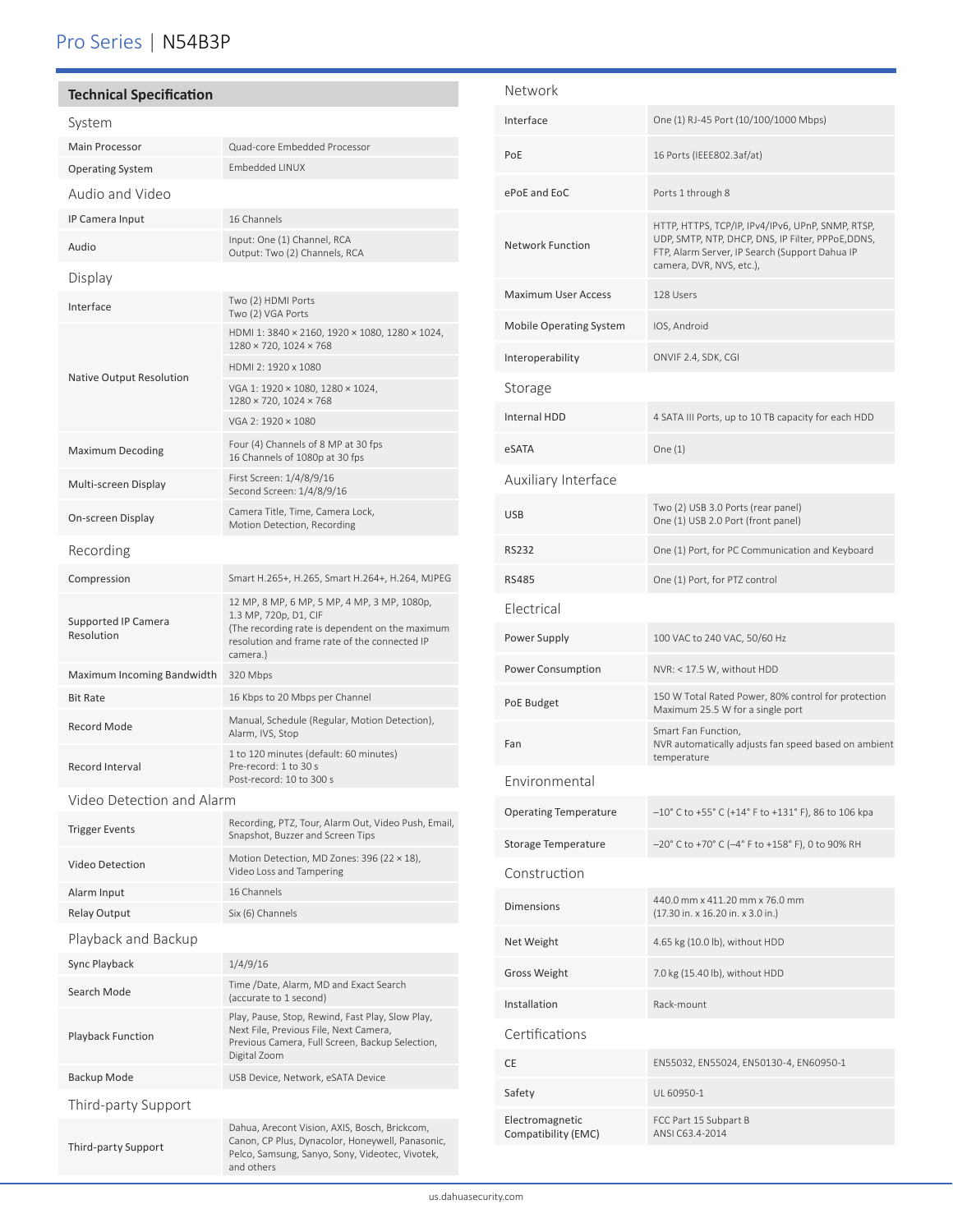## Pro Series | N54B3P

### **Technical Specification**

Playback Function

Third-party Support

Third-party Support

֦

| System                                   |                                                                                                                                                                                      |
|------------------------------------------|--------------------------------------------------------------------------------------------------------------------------------------------------------------------------------------|
| <b>Main Processor</b>                    | Quad-core Embedded Processor                                                                                                                                                         |
| <b>Operating System</b>                  | <b>Embedded LINUX</b>                                                                                                                                                                |
| Audio and Video                          |                                                                                                                                                                                      |
| IP Camera Input                          | 16 Channels                                                                                                                                                                          |
| Audio                                    | Input: One (1) Channel, RCA<br>Output: Two (2) Channels, RCA                                                                                                                         |
| Display                                  |                                                                                                                                                                                      |
| Interface                                | Two (2) HDMI Ports<br>Two (2) VGA Ports                                                                                                                                              |
|                                          | HDMI 1: 3840 × 2160, 1920 × 1080, 1280 × 1024,<br>1280 × 720, 1024 × 768                                                                                                             |
| Native Output Resolution                 | HDMI 2: 1920 x 1080                                                                                                                                                                  |
|                                          | VGA 1: 1920 × 1080, 1280 × 1024,<br>1280 × 720, 1024 × 768                                                                                                                           |
|                                          | VGA 2: 1920 × 1080                                                                                                                                                                   |
| <b>Maximum Decoding</b>                  | Four (4) Channels of 8 MP at 30 fps<br>16 Channels of 1080p at 30 fps                                                                                                                |
| Multi-screen Display                     | First Screen: 1/4/8/9/16<br>Second Screen: 1/4/8/9/16                                                                                                                                |
| On-screen Display                        | Camera Title, Time, Camera Lock,<br>Motion Detection, Recording                                                                                                                      |
| Recording                                |                                                                                                                                                                                      |
| Compression                              | Smart H.265+, H.265, Smart H.264+, H.264, MJPEG                                                                                                                                      |
| <b>Supported IP Camera</b><br>Resolution | 12 MP, 8 MP, 6 MP, 5 MP, 4 MP, 3 MP, 1080p,<br>1.3 MP, 720p, D1, CIF<br>(The recording rate is dependent on the maximum<br>resolution and frame rate of the connected IP<br>camera.) |
| Maximum Incoming Bandwidth               | 320 Mbps                                                                                                                                                                             |
| <b>Bit Rate</b>                          | 16 Kbps to 20 Mbps per Channel                                                                                                                                                       |
| <b>Record Mode</b>                       | Manual, Schedule (Regular, Motion Detection),<br>Alarm, IVS, Stop                                                                                                                    |
| Record Interval                          | 1 to 120 minutes (default: 60 minutes)<br>Pre-record: 1 to 30 s<br>Post-record: 10 to 300 s                                                                                          |
| Video Detection and Alarm                |                                                                                                                                                                                      |
| <b>Trigger Events</b>                    | Recording, PTZ, Tour, Alarm Out, Video Push, Email,<br>Snapshot, Buzzer and Screen Tips                                                                                              |
| <b>Video Detection</b>                   | Motion Detection, MD Zones: 396 (22 × 18),<br>Video Loss and Tampering                                                                                                               |
| Alarm Input                              | 16 Channels                                                                                                                                                                          |
| <b>Relay Output</b>                      | Six (6) Channels                                                                                                                                                                     |
| Playback and Backup                      |                                                                                                                                                                                      |
| Sync Playback                            | 1/4/9/16                                                                                                                                                                             |
| Search Mode                              | Time /Date, Alarm, MD and Exact Search<br>(accurate to 1 second)                                                                                                                     |

Play, Pause, Stop, Rewind, Fast Play, Slow Play, Next File, Previous File, Next Camera, Previous Camera, Full Screen, Backup Selection,

Dahua, Arecont Vision, AXIS, Bosch, Brickcom, Canon, CP Plus, Dynacolor, Honeywell, Panasonic, Pelco, Samsung, Sanyo, Sony, Videotec, Vivotek,

Digital Zoom

and others

Backup Mode **Mateur Communist COVER Device, Network**, eSATA Device

### Network Interface One (1) RJ-45 Port (10/100/1000 Mbps) PoE 16 Ports (IEEE802.3af/at) ePoE and EoC Ports 1 through 8 Network Function HTTP, HTTPS, TCP/IP, IPv4/IPv6, UPnP, SNMP, RTSP, UDP, SMTP, NTP, DHCP, DNS, IP Filter, PPPoE,DDNS, FTP, Alarm Server, IP Search (Support Dahua IP camera, DVR, NVS, etc.), Maximum User Access 128 Users Mobile Operating System IOS, Android Interoperability ONVIF 2.4, SDK, CGI Storage Internal HDD 4 SATA III Ports, up to 10 TB capacity for each HDD eSATA One (1) Auxiliary Interface USB Two (2) USB 3.0 Ports (rear panel) One (1) USB 2.0 Port (front panel) RS232 One (1) Port, for PC Communication and Keyboard RS485 One (1) Port, for PTZ control Electrical Power Supply 100 VAC to 240 VAC, 50/60 Hz Power Consumption NVR: < 17.5 W, without HDD POE Budget 150 W Total Rated Power, 80% control for protection<br>Maximum 25.5 W for a cingle port Maximum 25.5 W for a single port Fan Smart Fan Function, NVR automatically adjusts fan speed based on ambient temperature Environmental Operating Temperature –10° C to +55° C (+14° F to +131° F), 86 to 106 kpa Storage Temperature –20° C to +70° C (–4° F to +158° F), 0 to 90% RH Construction Dimensions 440.0 mm x 411.20 mm x 76.0 mm (17.30 in. x 16.20 in. x 3.0 in.) Net Weight 4.65 kg (10.0 lb), without HDD Gross Weight 7.0 kg (15.40 lb), without HDD Installation Rack-mount Certifications CE EN55032, EN55024, EN50130-4, EN60950-1 Safety UL 60950-1 Electromagnetic Compatibility (EMC) FCC Part 15 Subpart B ANSI C63.4-2014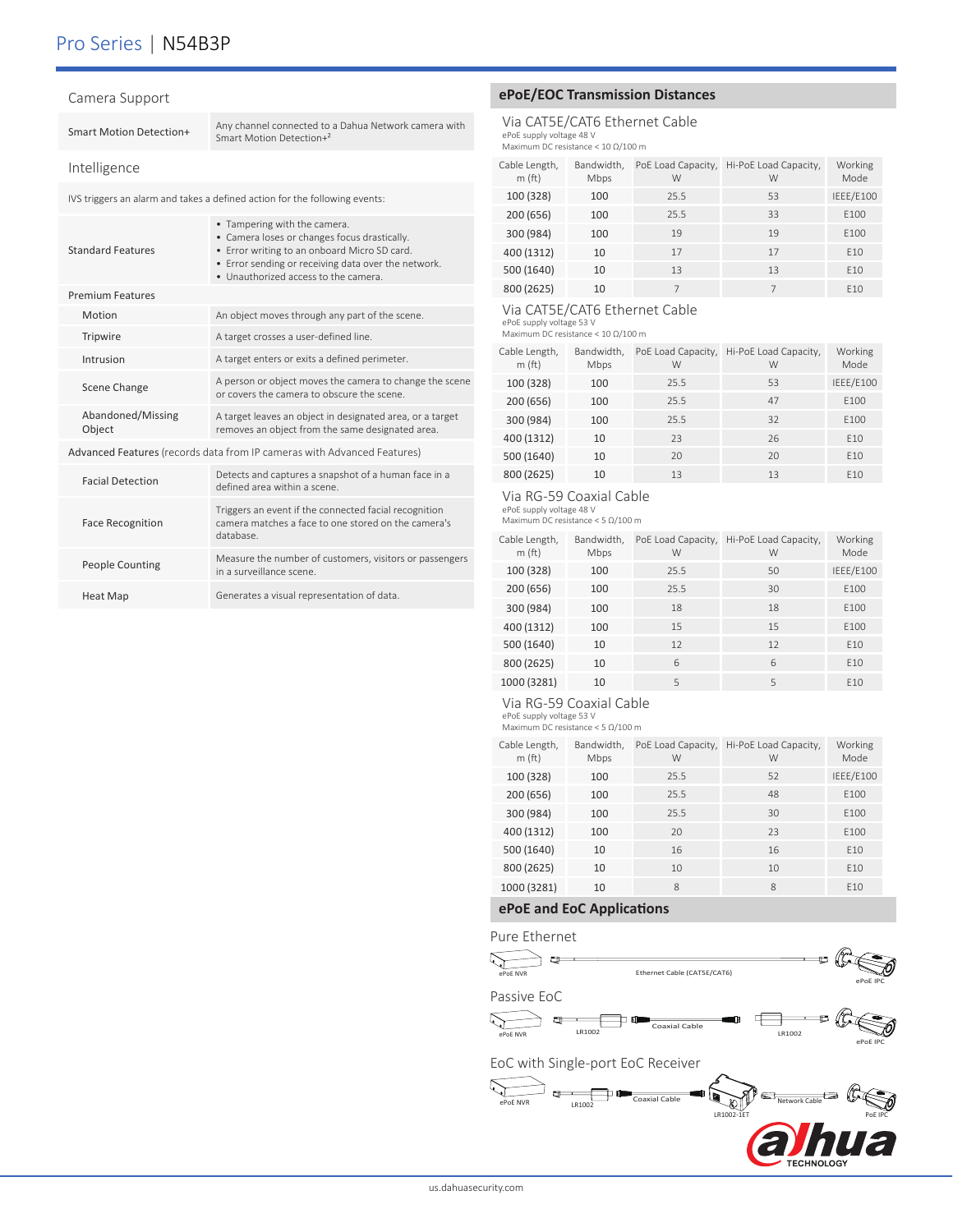### Pro Series | N54B3P

| Camera Support                                                          |                             |                                                                                                                                                                                                                             |  |  |
|-------------------------------------------------------------------------|-----------------------------|-----------------------------------------------------------------------------------------------------------------------------------------------------------------------------------------------------------------------------|--|--|
|                                                                         | Smart Motion Detection+     | Any channel connected to a Dahua Network camera with<br>Smart Motion Detection+2                                                                                                                                            |  |  |
|                                                                         | Intelligence                |                                                                                                                                                                                                                             |  |  |
|                                                                         |                             | IVS triggers an alarm and takes a defined action for the following events:                                                                                                                                                  |  |  |
|                                                                         | <b>Standard Features</b>    | • Tampering with the camera.<br>• Camera loses or changes focus drastically.<br>• Error writing to an onboard Micro SD card.<br>• Error sending or receiving data over the network.<br>· Unauthorized access to the camera. |  |  |
|                                                                         | <b>Premium Features</b>     |                                                                                                                                                                                                                             |  |  |
|                                                                         | Motion                      | An object moves through any part of the scene.                                                                                                                                                                              |  |  |
|                                                                         | Tripwire                    | A target crosses a user-defined line.                                                                                                                                                                                       |  |  |
|                                                                         | Intrusion                   | A target enters or exits a defined perimeter.                                                                                                                                                                               |  |  |
|                                                                         | Scene Change                | A person or object moves the camera to change the scene<br>or covers the camera to obscure the scene.                                                                                                                       |  |  |
|                                                                         | Abandoned/Missing<br>Object | A target leaves an object in designated area, or a target<br>removes an object from the same designated area.                                                                                                               |  |  |
| Advanced Features (records data from IP cameras with Advanced Features) |                             |                                                                                                                                                                                                                             |  |  |
|                                                                         | <b>Facial Detection</b>     | Detects and captures a snapshot of a human face in a<br>defined area within a scene.                                                                                                                                        |  |  |
|                                                                         | <b>Face Recognition</b>     | Triggers an event if the connected facial recognition<br>camera matches a face to one stored on the camera's<br>database.                                                                                                   |  |  |
|                                                                         |                             |                                                                                                                                                                                                                             |  |  |

| People Counting | Measure the number of customers, visitors or passengers<br>in a surveillance scene. |
|-----------------|-------------------------------------------------------------------------------------|
| Heat Map        | Generates a visual representation of data.                                          |

### **ePoE/EOC Transmission Distances**

Via CAT5E/CAT6 Ethernet Cable ePoE supply voltage 48 V Maximum DC resistance < 10 Ω/100 m

| Cable Length,<br>m(ft) | Bandwidth,<br>Mbps | PoE Load Capacity,<br>W | Hi-PoE Load Capacity,<br>W | Working<br>Mode |
|------------------------|--------------------|-------------------------|----------------------------|-----------------|
| 100 (328)              | 100                | 25.5                    | 53                         | IEEE/E100       |
| 200 (656)              | 100                | 25.5                    | 33                         | E100            |
| 300 (984)              | 100                | 19                      | 19                         | E100            |
| 400 (1312)             | 10                 | 17                      | 17                         | E10             |
| 500 (1640)             | 10                 | 13                      | 13                         | F <sub>10</sub> |
| 800 (2625)             | 10                 |                         | $\overline{7}$             | F <sub>10</sub> |

### Via CAT5E/CAT6 Ethernet Cable

ePoE supply voltage 53 V Maximum DC resistance < 10 Ω/100 m

| Cable Length,<br>m(ft) | Bandwidth,<br>Mbps | PoE Load Capacity,<br>W | Hi-PoE Load Capacity,<br>W | Working<br>Mode |
|------------------------|--------------------|-------------------------|----------------------------|-----------------|
| 100 (328)              | 100                | 25.5                    | 53                         | IEEE/E100       |
| 200 (656)              | 100                | 25.5                    | 47                         | E100            |
| 300 (984)              | 100                | 25.5                    | 32                         | E100            |
| 400 (1312)             | 10                 | 23                      | 26                         | E10             |
| 500 (1640)             | 10                 | 20                      | 20                         | E10             |
| 800 (2625)             | 10                 | 13                      | 13                         | E10             |

### Via RG-59 Coaxial Cable

ePoE supply voltage 48 V Maximum DC resistance < 5 Ω/100 m

| Cable Length,<br>m(ft) | Bandwidth,<br>Mbps | PoE Load Capacity,<br>W | Hi-PoE Load Capacity,<br>W | Working<br>Mode  |
|------------------------|--------------------|-------------------------|----------------------------|------------------|
| 100 (328)              | 100                | 25.5                    | 50                         | IEEE/E100        |
| 200 (656)              | 100                | 25.5                    | 30                         | E100             |
| 300 (984)              | 100                | 18                      | 18                         | F <sub>100</sub> |
| 400 (1312)             | 100                | 15                      | 15                         | F100             |
| 500 (1640)             | 10                 | 12                      | 12                         | E10              |
| 800 (2625)             | 10                 | 6                       | 6                          | F <sub>10</sub>  |
| 1000 (3281)            | 10                 | 5                       | 5                          | F <sub>10</sub>  |

#### Via RG-59 Coaxial Cable

ePoE supply voltage 53 V Maximum DC resistance < 5 Ω/100 m

| Cable Length,<br>m(ft) | Bandwidth,<br>Mbps | PoE Load Capacity,<br>W | Hi-PoE Load Capacity,<br>W | Working<br>Mode  |
|------------------------|--------------------|-------------------------|----------------------------|------------------|
| 100 (328)              | 100                | 25.5                    | 52                         | IEEE/E100        |
| 200 (656)              | 100                | 25.5                    | 48                         | F100             |
| 300 (984)              | 100                | 25.5                    | 30                         | F <sub>100</sub> |
| 400 (1312)             | 100                | 20                      | 23                         | F100             |
| 500 (1640)             | 10                 | 16                      | 16                         | F <sub>10</sub>  |
| 800 (2625)             | 10                 | 10                      | 10                         | F <sub>10</sub>  |
| 1000 (3281)            | 10                 | 8                       | 8                          | F <sub>10</sub>  |

### **ePoE and EoC Applications**